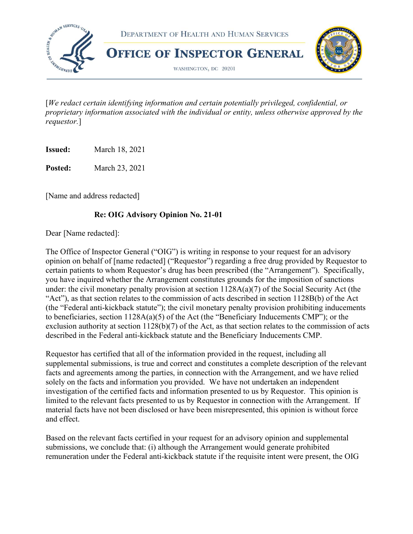

 [We redact certain identifying information and certain potentially privileged, confidential, or proprietary information associated with the individual or entity, unless otherwise approved by the requestor.]

**Issued:** March 18, 2021

**Posted:** March 23, 2021

[Name and address redacted]

## Re: OIG Advisory Opinion No. 21-01

Dear [Name redacted]:

 The Office of Inspector General ("OIG") is writing in response to your request for an advisory opinion on behalf of [name redacted] ("Requestor") regarding a free drug provided by Requestor to certain patients to whom Requestor's drug has been prescribed (the "Arrangement"). Specifically, you have inquired whether the Arrangement constitutes grounds for the imposition of sanctions under: the civil monetary penalty provision at section 1128A(a)(7) of the Social Security Act (the "Act"), as that section relates to the commission of acts described in section 1128B(b) of the Act (the "Federal anti-kickback statute"); the civil monetary penalty provision prohibiting inducements to beneficiaries, section 1128A(a)(5) of the Act (the "Beneficiary Inducements CMP"); or the exclusion authority at section 1128(b)(7) of the Act, as that section relates to the commission of acts described in the Federal anti-kickback statute and the Beneficiary Inducements CMP.

 Requestor has certified that all of the information provided in the request, including all supplemental submissions, is true and correct and constitutes a complete description of the relevant facts and agreements among the parties, in connection with the Arrangement, and we have relied solely on the facts and information you provided. We have not undertaken an independent investigation of the certified facts and information presented to us by Requestor. This opinion is limited to the relevant facts presented to us by Requestor in connection with the Arrangement. If material facts have not been disclosed or have been misrepresented, this opinion is without force and effect.

 Based on the relevant facts certified in your request for an advisory opinion and supplemental submissions, we conclude that: (i) although the Arrangement would generate prohibited remuneration under the Federal anti-kickback statute if the requisite intent were present, the OIG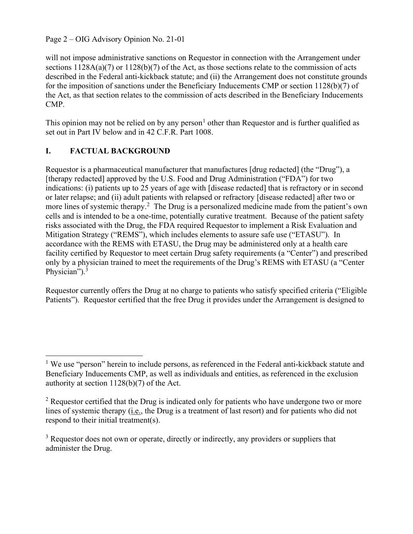Page 2 – OIG Advisory Opinion No. 21-01

 will not impose administrative sanctions on Requestor in connection with the Arrangement under sections 1128A(a)(7) or 1128(b)(7) of the Act, as those sections relate to the commission of acts described in the Federal anti-kickback statute; and (ii) the Arrangement does not constitute grounds for the imposition of sanctions under the Beneficiary Inducements CMP or section 1128(b)(7) of the Act, as that section relates to the commission of acts described in the Beneficiary Inducements CMP.

This opinion may not be relied on by any person<sup>1</sup> other than Requestor and is further qualified as set out in Part IV below and in 42 C.F.R. Part 1008.

## I. FACTUAL BACKGROUND

 Requestor is a pharmaceutical manufacturer that manufactures [drug redacted] (the "Drug"), a [therapy redacted] approved by the U.S. Food and Drug Administration ("FDA") for two indications: (i) patients up to 25 years of age with [disease redacted] that is refractory or in second or later relapse; and (ii) adult patients with relapsed or refractory [disease redacted] after two or more lines of systemic therapy.<sup>2</sup> The Drug is a personalized medicine made from the patient's own cells and is intended to be a one-time, potentially curative treatment. Because of the patient safety risks associated with the Drug, the FDA required Requestor to implement a Risk Evaluation and Mitigation Strategy ("REMS"), which includes elements to assure safe use ("ETASU"). In accordance with the REMS with ETASU, the Drug may be administered only at a health care facility certified by Requestor to meet certain Drug safety requirements (a "Center") and prescribed only by a physician trained to meet the requirements of the Drug's REMS with ETASU (a "Center Physician"). $3$ 

 Requestor currently offers the Drug at no charge to patients who satisfy specified criteria ("Eligible Patients"). Requestor certified that the free Drug it provides under the Arrangement is designed to

 $<sup>1</sup>$  We use "person" herein to include persons, as referenced in the Federal anti-kickback statute and</sup> Beneficiary Inducements CMP, as well as individuals and entities, as referenced in the exclusion authority at section 1128(b)(7) of the Act.

 $2$  Requestor certified that the Drug is indicated only for patients who have undergone two or more lines of systemic therapy (*i.e.*, the Drug is a treatment of last resort) and for patients who did not respond to their initial treatment(s).

 $3$  Requestor does not own or operate, directly or indirectly, any providers or suppliers that administer the Drug.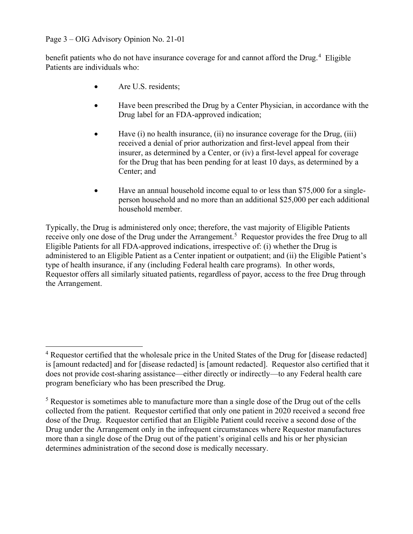Page 3 – OIG Advisory Opinion No. 21-01

benefit patients who do not have insurance coverage for and cannot afford the Drug.<sup>4</sup> Eligible Patients are individuals who:

- Are U.S. residents;
- Have been prescribed the Drug by a Center Physician, in accordance with the Drug label for an FDA-approved indication;
- Have (i) no health insurance, (ii) no insurance coverage for the Drug, (iii) received a denial of prior authorization and first-level appeal from their insurer, as determined by a Center, or (iv) a first-level appeal for coverage for the Drug that has been pending for at least 10 days, as determined by a Center; and
- Have an annual household income equal to or less than \$75,000 for a single- person household and no more than an additional \$25,000 per each additional household member.

 Typically, the Drug is administered only once; therefore, the vast majority of Eligible Patients receive only one dose of the Drug under the Arrangement.<sup>5</sup> Requestor provides the free Drug to all Eligible Patients for all FDA-approved indications, irrespective of: (i) whether the Drug is administered to an Eligible Patient as a Center inpatient or outpatient; and (ii) the Eligible Patient's type of health insurance, if any (including Federal health care programs). In other words, Requestor offers all similarly situated patients, regardless of payor, access to the free Drug through the Arrangement.

 $4$  Requestor certified that the wholesale price in the United States of the Drug for [disease redacted] is [amount redacted] and for [disease redacted] is [amount redacted]. Requestor also certified that it does not provide cost-sharing assistance—either directly or indirectly—to any Federal health care program beneficiary who has been prescribed the Drug.

 $<sup>5</sup>$  Requestor is sometimes able to manufacture more than a single dose of the Drug out of the cells</sup> collected from the patient. Requestor certified that only one patient in 2020 received a second free dose of the Drug. Requestor certified that an Eligible Patient could receive a second dose of the Drug under the Arrangement only in the infrequent circumstances where Requestor manufactures more than a single dose of the Drug out of the patient's original cells and his or her physician determines administration of the second dose is medically necessary.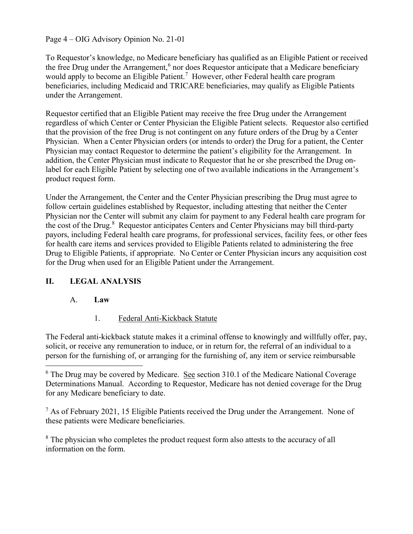### Page 4 – OIG Advisory Opinion No. 21-01

 To Requestor's knowledge, no Medicare beneficiary has qualified as an Eligible Patient or received the free Drug under the Arrangement,<sup>6</sup> nor does Requestor anticipate that a Medicare beneficiary would apply to become an Eligible Patient.<sup>7</sup> However, other Federal health care program beneficiaries, including Medicaid and TRICARE beneficiaries, may qualify as Eligible Patients under the Arrangement.

 Requestor certified that an Eligible Patient may receive the free Drug under the Arrangement regardless of which Center or Center Physician the Eligible Patient selects. Requestor also certified that the provision of the free Drug is not contingent on any future orders of the Drug by a Center Physician. When a Center Physician orders (or intends to order) the Drug for a patient, the Center Physician may contact Requestor to determine the patient's eligibility for the Arrangement. In addition, the Center Physician must indicate to Requestor that he or she prescribed the Drug on- label for each Eligible Patient by selecting one of two available indications in the Arrangement's product request form.

 Under the Arrangement, the Center and the Center Physician prescribing the Drug must agree to follow certain guidelines established by Requestor, including attesting that neither the Center Physician nor the Center will submit any claim for payment to any Federal health care program for the cost of the Drug.<sup>8</sup> Requestor anticipates Centers and Center Physicians may bill third-party payors, including Federal health care programs, for professional services, facility fees, or other fees for health care items and services provided to Eligible Patients related to administering the free Drug to Eligible Patients, if appropriate. No Center or Center Physician incurs any acquisition cost for the Drug when used for an Eligible Patient under the Arrangement.

## II. LEGAL ANALYSIS

### A. Law

1. 1. Federal Anti-Kickback Statute

 The Federal anti-kickback statute makes it a criminal offense to knowingly and willfully offer, pay, solicit, or receive any remuneration to induce, or in return for, the referral of an individual to a person for the furnishing of, or arranging for the furnishing of, any item or service reimbursable

 $<sup>7</sup>$  As of February 2021, 15 Eligible Patients received the Drug under the Arrangement. None of</sup> these patients were Medicare beneficiaries.

 $8$  The physician who completes the product request form also attests to the accuracy of all information on the form.

 $6$  The Drug may be covered by Medicare. See section 310.1 of the Medicare National Coverage Determinations Manual. According to Requestor, Medicare has not denied coverage for the Drug for any Medicare beneficiary to date.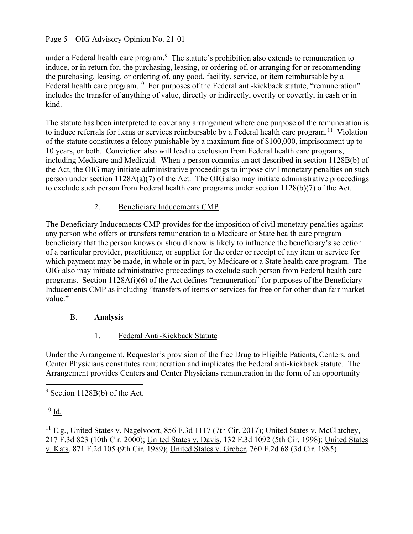## Page 5 – OIG Advisory Opinion No. 21-01

under a Federal health care program. $9\,$  The statute's prohibition also extends to remuneration to induce, or in return for, the purchasing, leasing, or ordering of, or arranging for or recommending the purchasing, leasing, or ordering of, any good, facility, service, or item reimbursable by a Federal health care program.<sup>10</sup> For purposes of the Federal anti-kickback statute, "remuneration" includes the transfer of anything of value, directly or indirectly, overtly or covertly, in cash or in kind.

 The statute has been interpreted to cover any arrangement where one purpose of the remuneration is to induce referrals for items or services reimbursable by a Federal health care program.<sup>11</sup> Violation of the statute constitutes a felony punishable by a maximum fine of \$100,000, imprisonment up to 10 years, or both. Conviction also will lead to exclusion from Federal health care programs, including Medicare and Medicaid. When a person commits an act described in section 1128B(b) of the Act, the OIG may initiate administrative proceedings to impose civil monetary penalties on such person under section 1128A(a)(7) of the Act. The OIG also may initiate administrative proceedings to exclude such person from Federal health care programs under section 1128(b)(7) of the Act.

## 2. Beneficiary Inducements CMP

 The Beneficiary Inducements CMP provides for the imposition of civil monetary penalties against any person who offers or transfers remuneration to a Medicare or State health care program beneficiary that the person knows or should know is likely to influence the beneficiary's selection of a particular provider, practitioner, or supplier for the order or receipt of any item or service for which payment may be made, in whole or in part, by Medicare or a State health care program. The OIG also may initiate administrative proceedings to exclude such person from Federal health care programs. Section 1128A(i)(6) of the Act defines "remuneration" for purposes of the Beneficiary Inducements CMP as including "transfers of items or services for free or for other than fair market value."

### B. Analysis

#### $1<sup>1</sup>$ Federal Anti-Kickback Statute

 Under the Arrangement, Requestor's provision of the free Drug to Eligible Patients, Centers, and Center Physicians constitutes remuneration and implicates the Federal anti-kickback statute. The Arrangement provides Centers and Center Physicians remuneration in the form of an opportunity

 $10$  Id.

 $9$  Section 1128B(b) of the Act.

<sup>&</sup>lt;sup>11</sup> E.g., United States v. Nagelvoort, 856 F.3d 1117 (7th Cir. 2017); United States v. McClatchey, 217 F.3d 823 (10th Cir. 2000); United States v. Davis, 132 F.3d 1092 (5th Cir. 1998); United States v. Kats, 871 F.2d 105 (9th Cir. 1989); United States v. Greber, 760 F.2d 68 (3d Cir. 1985).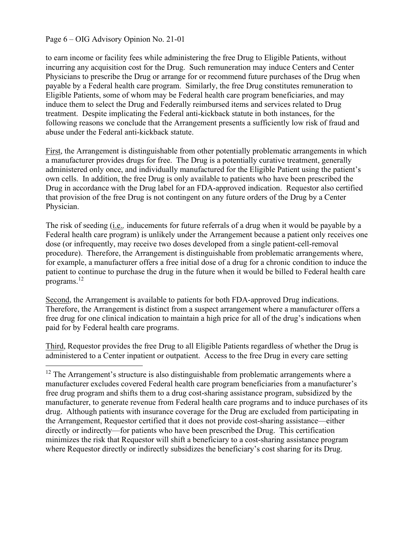#### Page 6 – OIG Advisory Opinion No. 21-01

 to earn income or facility fees while administering the free Drug to Eligible Patients, without incurring any acquisition cost for the Drug. Such remuneration may induce Centers and Center Physicians to prescribe the Drug or arrange for or recommend future purchases of the Drug when payable by a Federal health care program. Similarly, the free Drug constitutes remuneration to Eligible Patients, some of whom may be Federal health care program beneficiaries, and may induce them to select the Drug and Federally reimbursed items and services related to Drug treatment. Despite implicating the Federal anti-kickback statute in both instances, for the following reasons we conclude that the Arrangement presents a sufficiently low risk of fraud and abuse under the Federal anti-kickback statute.

First, the Arrangement is distinguishable from other potentially problematic arrangements in which a manufacturer provides drugs for free. The Drug is a potentially curative treatment, generally administered only once, and individually manufactured for the Eligible Patient using the patient's own cells. In addition, the free Drug is only available to patients who have been prescribed the Drug in accordance with the Drug label for an FDA-approved indication. Requestor also certified that provision of the free Drug is not contingent on any future orders of the Drug by a Center Physician.

The risk of seeding (*i.e.*, inducements for future referrals of a drug when it would be payable by a Federal health care program) is unlikely under the Arrangement because a patient only receives one dose (or infrequently, may receive two doses developed from a single patient-cell-removal procedure). Therefore, the Arrangement is distinguishable from problematic arrangements where, for example, a manufacturer offers a free initial dose of a drug for a chronic condition to induce the patient to continue to purchase the drug in the future when it would be billed to Federal health care programs. $^{12}$ 

Second, the Arrangement is available to patients for both FDA-approved Drug indications. Therefore, the Arrangement is distinct from a suspect arrangement where a manufacturer offers a free drug for one clinical indication to maintain a high price for all of the drug's indications when paid for by Federal health care programs.

Third, Requestor provides the free Drug to all Eligible Patients regardless of whether the Drug is administered to a Center inpatient or outpatient. Access to the free Drug in every care setting

 $12$  The Arrangement's structure is also distinguishable from problematic arrangements where a manufacturer excludes covered Federal health care program beneficiaries from a manufacturer's free drug program and shifts them to a drug cost-sharing assistance program, subsidized by the manufacturer, to generate revenue from Federal health care programs and to induce purchases of its drug. Although patients with insurance coverage for the Drug are excluded from participating in the Arrangement, Requestor certified that it does not provide cost-sharing assistance—either directly or indirectly—for patients who have been prescribed the Drug. This certification minimizes the risk that Requestor will shift a beneficiary to a cost-sharing assistance program where Requestor directly or indirectly subsidizes the beneficiary's cost sharing for its Drug.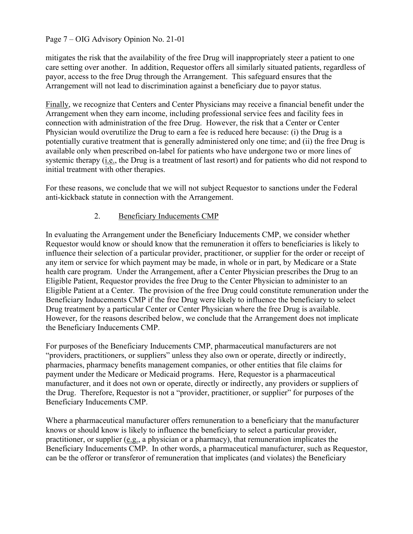### Page 7 – OIG Advisory Opinion No. 21-01

 mitigates the risk that the availability of the free Drug will inappropriately steer a patient to one care setting over another. In addition, Requestor offers all similarly situated patients, regardless of payor, access to the free Drug through the Arrangement. This safeguard ensures that the Arrangement will not lead to discrimination against a beneficiary due to payor status.

Finally, we recognize that Centers and Center Physicians may receive a financial benefit under the Arrangement when they earn income, including professional service fees and facility fees in connection with administration of the free Drug. However, the risk that a Center or Center Physician would overutilize the Drug to earn a fee is reduced here because: (i) the Drug is a potentially curative treatment that is generally administered only one time; and (ii) the free Drug is available only when prescribed on-label for patients who have undergone two or more lines of systemic therapy (*i.e.*, the Drug is a treatment of last resort) and for patients who did not respond to initial treatment with other therapies.

 For these reasons, we conclude that we will not subject Requestor to sanctions under the Federal anti-kickback statute in connection with the Arrangement.

### 2. Beneficiary Inducements CMP

 In evaluating the Arrangement under the Beneficiary Inducements CMP, we consider whether Requestor would know or should know that the remuneration it offers to beneficiaries is likely to influence their selection of a particular provider, practitioner, or supplier for the order or receipt of any item or service for which payment may be made, in whole or in part, by Medicare or a State health care program. Under the Arrangement, after a Center Physician prescribes the Drug to an Eligible Patient, Requestor provides the free Drug to the Center Physician to administer to an Eligible Patient at a Center. The provision of the free Drug could constitute remuneration under the Beneficiary Inducements CMP if the free Drug were likely to influence the beneficiary to select Drug treatment by a particular Center or Center Physician where the free Drug is available. However, for the reasons described below, we conclude that the Arrangement does not implicate the Beneficiary Inducements CMP.

 For purposes of the Beneficiary Inducements CMP, pharmaceutical manufacturers are not "providers, practitioners, or suppliers" unless they also own or operate, directly or indirectly, pharmacies, pharmacy benefits management companies, or other entities that file claims for payment under the Medicare or Medicaid programs. Here, Requestor is a pharmaceutical manufacturer, and it does not own or operate, directly or indirectly, any providers or suppliers of the Drug. Therefore, Requestor is not a "provider, practitioner, or supplier" for purposes of the Beneficiary Inducements CMP.

 Where a pharmaceutical manufacturer offers remuneration to a beneficiary that the manufacturer knows or should know is likely to influence the beneficiary to select a particular provider, practitioner, or supplier (e.g., a physician or a pharmacy), that remuneration implicates the Beneficiary Inducements CMP. In other words, a pharmaceutical manufacturer, such as Requestor, can be the offeror or transferor of remuneration that implicates (and violates) the Beneficiary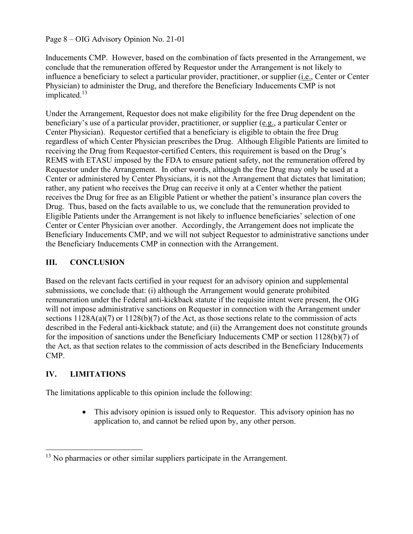Page 8 – OIG Advisory Opinion No. 21-01

 Inducements CMP. However, based on the combination of facts presented in the Arrangement, we conclude that the remuneration offered by Requestor under the Arrangement is not likely to influence a beneficiary to select a particular provider, practitioner, or supplier (*i.e.*, Center or Center Physician) to administer the Drug, and therefore the Beneficiary Inducements CMP is not implicated.<sup>13</sup>

 Under the Arrangement, Requestor does not make eligibility for the free Drug dependent on the beneficiary's use of a particular provider, practitioner, or supplier (e.g., a particular Center or Center Physician). Requestor certified that a beneficiary is eligible to obtain the free Drug regardless of which Center Physician prescribes the Drug. Although Eligible Patients are limited to receiving the Drug from Requestor-certified Centers, this requirement is based on the Drug's REMS with ETASU imposed by the FDA to ensure patient safety, not the remuneration offered by Requestor under the Arrangement. In other words, although the free Drug may only be used at a Center or administered by Center Physicians, it is not the Arrangement that dictates that limitation; rather, any patient who receives the Drug can receive it only at a Center whether the patient receives the Drug for free as an Eligible Patient or whether the patient's insurance plan covers the Drug. Thus, based on the facts available to us, we conclude that the remuneration provided to Eligible Patients under the Arrangement is not likely to influence beneficiaries' selection of one Center or Center Physician over another. Accordingly, the Arrangement does not implicate the Beneficiary Inducements CMP, and we will not subject Requestor to administrative sanctions under the Beneficiary Inducements CMP in connection with the Arrangement.

# III. CONCLUSION

 Based on the relevant facts certified in your request for an advisory opinion and supplemental submissions, we conclude that: (i) although the Arrangement would generate prohibited remuneration under the Federal anti-kickback statute if the requisite intent were present, the OIG will not impose administrative sanctions on Requestor in connection with the Arrangement under sections 1128A(a)(7) or 1128(b)(7) of the Act, as those sections relate to the commission of acts described in the Federal anti-kickback statute; and (ii) the Arrangement does not constitute grounds for the imposition of sanctions under the Beneficiary Inducements CMP or section 1128(b)(7) of the Act, as that section relates to the commission of acts described in the Beneficiary Inducements CMP.

## IV. LIMITATIONS

The limitations applicable to this opinion include the following:

 This advisory opinion is issued only to Requestor. This advisory opinion has no application to, and cannot be relied upon by, any other person.

 $13$  No pharmacies or other similar suppliers participate in the Arrangement.